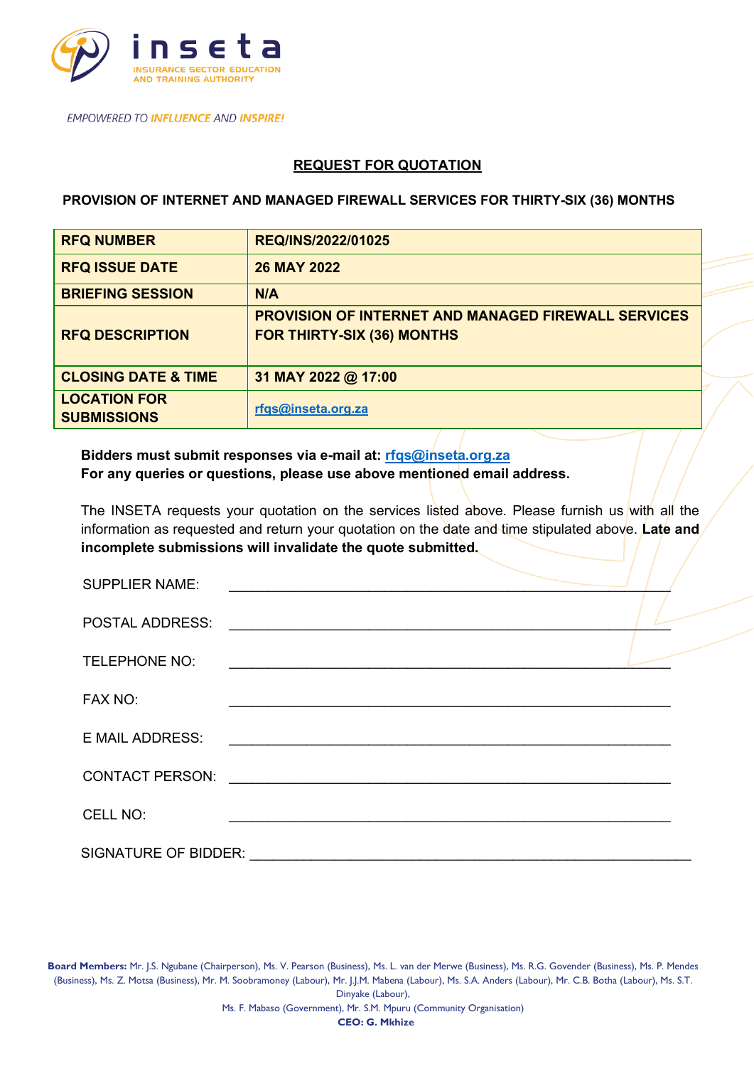

## **REQUEST FOR QUOTATION**

**PROVISION OF INTERNET AND MANAGED FIREWALL SERVICES FOR THIRTY-SIX (36) MONTHS**

| <b>RFQ NUMBER</b>                         | REQ/INS/2022/01025                                                                              |
|-------------------------------------------|-------------------------------------------------------------------------------------------------|
| <b>RFQ ISSUE DATE</b>                     | <b>26 MAY 2022</b>                                                                              |
| <b>BRIEFING SESSION</b>                   | N/A                                                                                             |
| <b>RFQ DESCRIPTION</b>                    | <b>PROVISION OF INTERNET AND MANAGED FIREWALL SERVICES</b><br><b>FOR THIRTY-SIX (36) MONTHS</b> |
| <b>CLOSING DATE &amp; TIME</b>            | 31 MAY 2022 @ 17:00                                                                             |
| <b>LOCATION FOR</b><br><b>SUBMISSIONS</b> | rfqs@inseta.org.za                                                                              |

**Bidders must submit responses via e-mail at: [rfqs@inseta.org.za](mailto:rfqs@inseta.org.za) For any queries or questions, please use above mentioned email address.** 

The INSETA requests your quotation on the services listed above. Please furnish us with all the information as requested and return your quotation on the date and time stipulated above. **Late and incomplete submissions will invalidate the quote submitted.**

| <b>SUPPLIER NAME:</b>       |                                                                                                                        |
|-----------------------------|------------------------------------------------------------------------------------------------------------------------|
| <b>POSTAL ADDRESS:</b>      | <u> 1989 - John Stein, mars and de Britain and de Britain and de Britain and de Britain and de Britain and de Br</u>   |
| TELEPHONE NO:               |                                                                                                                        |
| FAX NO:                     |                                                                                                                        |
| <b>E MAIL ADDRESS:</b>      | <u> 1989 - John Stone, amerikansk politiker (d. 1989)</u>                                                              |
| <b>CONTACT PERSON:</b>      | <u> 1989 - Jan Stern Stern Stern Stern Stern Stern Stern Stern Stern Stern Stern Stern Stern Stern Stern Stern St</u>  |
| CELL NO:                    | <u> 1989 - Johann Stoff, deutscher Stoff, deutscher Stoff, der Stoff, der Stoff, der Stoff, der Stoff, der Stoff, </u> |
| <b>SIGNATURE OF BIDDER:</b> |                                                                                                                        |

**Board Members:** Mr. J.S. Ngubane (Chairperson), Ms. V. Pearson (Business), Ms. L. van der Merwe (Business), Ms. R.G. Govender (Business), Ms. P. Mendes (Business), Ms. Z. Motsa (Business), Mr. M. Soobramoney (Labour), Mr. J.J.M. Mabena (Labour), Ms. S.A. Anders (Labour), Mr. C.B. Botha (Labour), Ms. S.T. Dinyake (Labour), Ms. F. Mabaso (Government), Mr. S.M. Mpuru (Community Organisation) **CEO: G. Mkhize**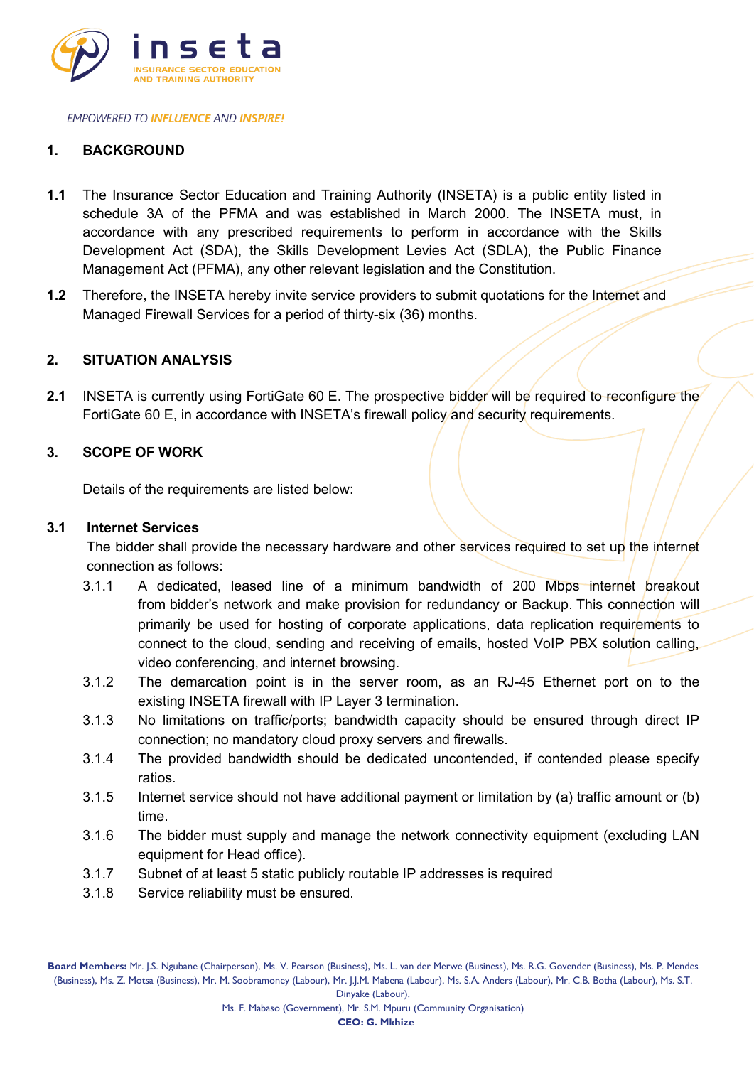

## **1. BACKGROUND**

- **1.1** The Insurance Sector Education and Training Authority (INSETA) is a public entity listed in schedule 3A of the PFMA and was established in March 2000. The INSETA must, in accordance with any prescribed requirements to perform in accordance with the Skills Development Act (SDA), the Skills Development Levies Act (SDLA), the Public Finance Management Act (PFMA), any other relevant legislation and the Constitution.
- **1.2** Therefore, the INSETA hereby invite service providers to submit quotations for the Internet and Managed Firewall Services for a period of thirty-six (36) months.

### **2. SITUATION ANALYSIS**

2.1 INSETA is currently using FortiGate 60 E. The prospective bidder will be required to reconfigure the FortiGate 60 E, in accordance with INSETA's firewall policy and security requirements.

### **3. SCOPE OF WORK**

Details of the requirements are listed below:

### **3.1 Internet Services**

The bidder shall provide the necessary hardware and other services required to set up the internet connection as follows:

- 3.1.1 A dedicated, leased line of a minimum bandwidth of 200 Mbps internet breakout from bidder's network and make provision for redundancy or Backup. This connection will primarily be used for hosting of corporate applications, data replication requirements to connect to the cloud, sending and receiving of emails, hosted VoIP PBX solution calling, video conferencing, and internet browsing.
- 3.1.2 The demarcation point is in the server room, as an RJ-45 Ethernet port on to the existing INSETA firewall with IP Layer 3 termination.
- 3.1.3 No limitations on traffic/ports; bandwidth capacity should be ensured through direct IP connection; no mandatory cloud proxy servers and firewalls.
- 3.1.4 The provided bandwidth should be dedicated uncontended, if contended please specify ratios.
- 3.1.5 Internet service should not have additional payment or limitation by (a) traffic amount or (b) time.
- 3.1.6 The bidder must supply and manage the network connectivity equipment (excluding LAN equipment for Head office).
- 3.1.7 Subnet of at least 5 static publicly routable IP addresses is required
- 3.1.8 Service reliability must be ensured.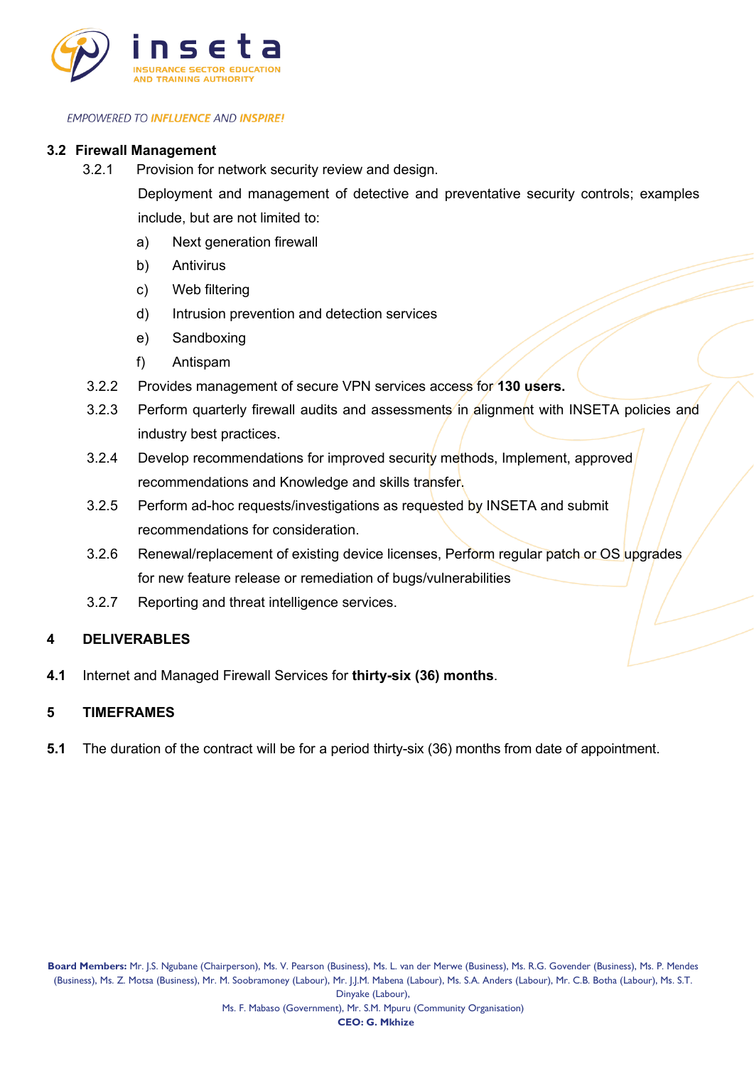

#### **3.2 Firewall Management**

3.2.1 Provision for network security review and design.

Deployment and management of detective and preventative security controls; examples include, but are not limited to:

- a) Next generation firewall
- b) Antivirus
- c) Web filtering
- d) Intrusion prevention and detection services
- e) Sandboxing
- f) Antispam
- 3.2.2 Provides management of secure VPN services access for **130 users.**
- 3.2.3 Perform quarterly firewall audits and assessments in alignment with INSETA policies and industry best practices.
- 3.2.4 Develop recommendations for improved security methods, Implement, approved recommendations and Knowledge and skills transfer.
- 3.2.5 Perform ad-hoc requests/investigations as requested by INSETA and submit recommendations for consideration.
- 3.2.6 Renewal/replacement of existing device licenses, Perform regular patch or OS upgrades for new feature release or remediation of bugs/vulnerabilities
- 3.2.7 Reporting and threat intelligence services.

### **4 DELIVERABLES**

**4.1** Internet and Managed Firewall Services for **thirty-six (36) months**.

#### **5 TIMEFRAMES**

**5.1** The duration of the contract will be for a period thirty-six (36) months from date of appointment.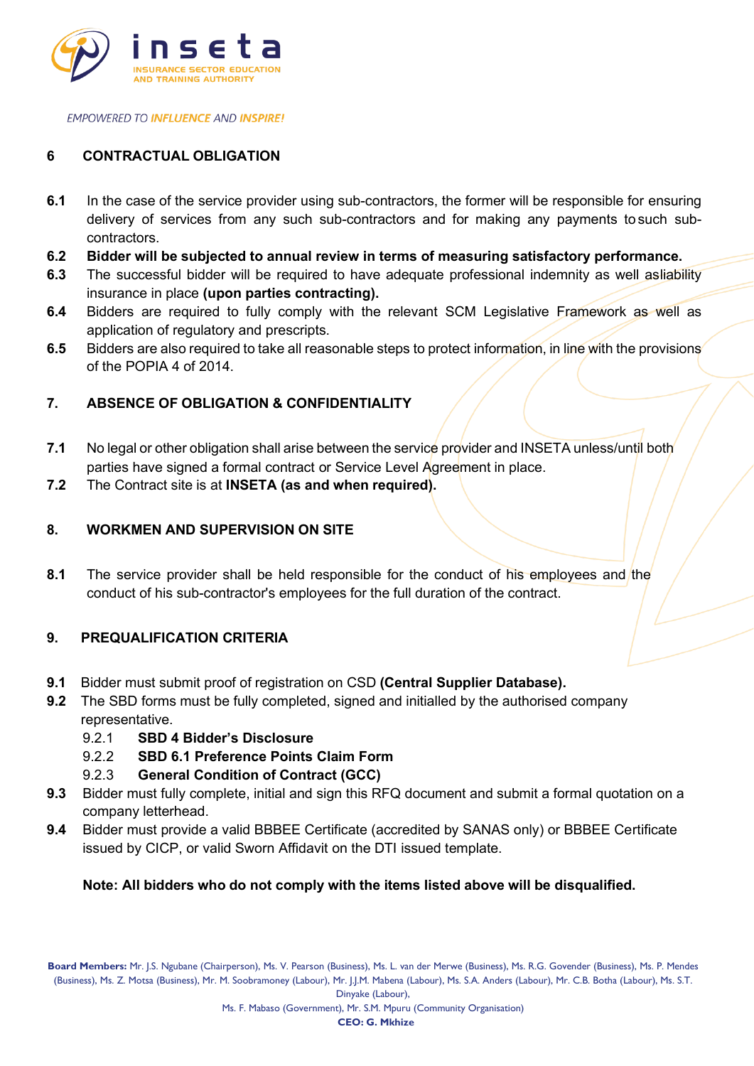

# **6 CONTRACTUAL OBLIGATION**

- **6.1** In the case of the service provider using sub-contractors, the former will be responsible for ensuring delivery of services from any such sub-contractors and for making any payments to such subcontractors.
- **6.2 Bidder will be subjected to annual review in terms of measuring satisfactory performance.**
- **6.3** The successful bidder will be required to have adequate professional indemnity as well asliability insurance in place **(upon parties contracting).**
- **6.4** Bidders are required to fully comply with the relevant SCM Legislative Framework as well as application of regulatory and prescripts.
- **6.5** Bidders are also required to take all reasonable steps to protect information, in line with the provisions of the POPIA 4 of 2014.

## **7. ABSENCE OF OBLIGATION & CONFIDENTIALITY**

- **7.1** No legal or other obligation shall arise between the service provider and INSETA unless/until both parties have signed a formal contract or Service Level Agreement in place.
- **7.2** The Contract site is at **INSETA (as and when required).**

## **8. WORKMEN AND SUPERVISION ON SITE**

**8.1** The service provider shall be held responsible for the conduct of his employees and the conduct of his sub-contractor's employees for the full duration of the contract.

### **9. PREQUALIFICATION CRITERIA**

- **9.1** Bidder must submit proof of registration on CSD **(Central Supplier Database).**
- **9.2** The SBD forms must be fully completed, signed and initialled by the authorised company representative.
	- 9.2.1 **SBD 4 Bidder's Disclosure**
	- 9.2.2 **SBD 6.1 Preference Points Claim Form**
	- 9.2.3 **General Condition of Contract (GCC)**
- **9.3** Bidder must fully complete, initial and sign this RFQ document and submit a formal quotation on a company letterhead.
- **9.4** Bidder must provide a valid BBBEE Certificate (accredited by SANAS only) or BBBEE Certificate issued by CICP, or valid Sworn Affidavit on the DTI issued template.

### **Note: All bidders who do not comply with the items listed above will be disqualified.**

Dinyake (Labour),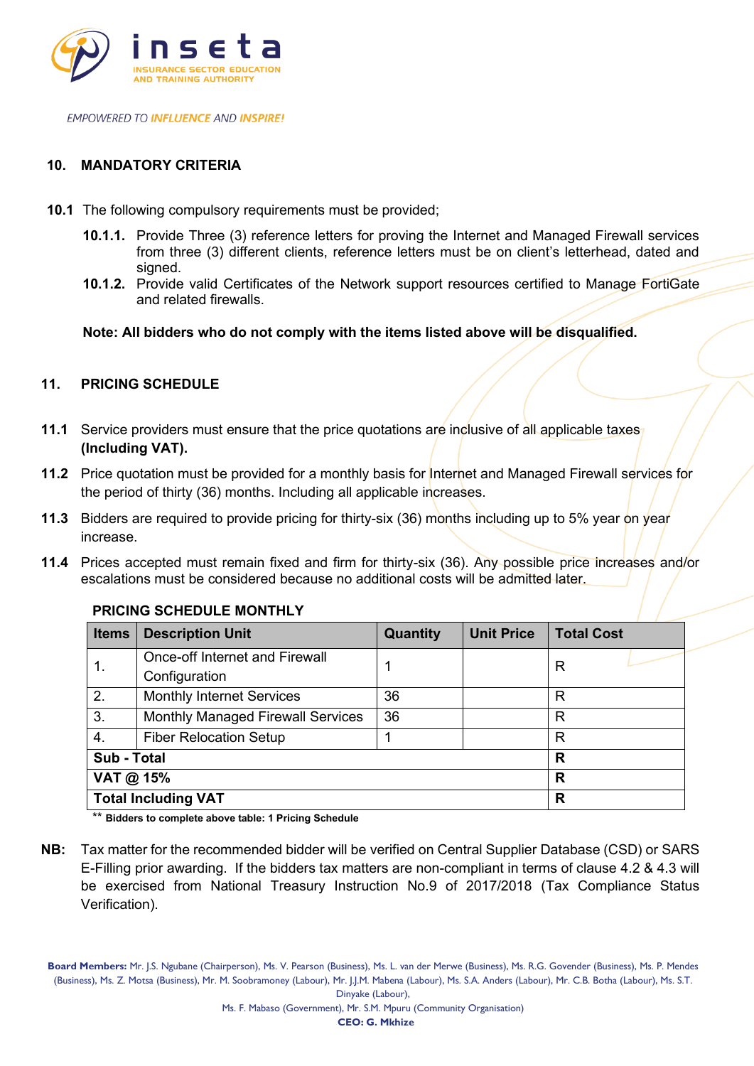

## **10. MANDATORY CRITERIA**

- **10.1** The following compulsory requirements must be provided;
	- **10.1.1.** Provide Three (3) reference letters for proving the Internet and Managed Firewall services from three (3) different clients, reference letters must be on client's letterhead, dated and signed.
	- **10.1.2.** Provide valid Certificates of the Network support resources certified to Manage FortiGate and related firewalls.

**Note: All bidders who do not comply with the items listed above will be disqualified.**

## **11. PRICING SCHEDULE**

- **11.1** Service providers must ensure that the price quotations are inclusive of all applicable taxes **(Including VAT).**
- **11.2** Price quotation must be provided for a monthly basis for Internet and Managed Firewall services for the period of thirty (36) months. Including all applicable increases.
- **11.3** Bidders are required to provide pricing for thirty-six (36) months including up to 5% year on year increase.
- **11.4** Prices accepted must remain fixed and firm for thirty-six (36). Any possible price increases and/or escalations must be considered because no additional costs will be admitted later.

| <b>Items</b>               | <b>Description Unit</b>                                | Quantity | <b>Unit Price</b> | <b>Total Cost</b> |
|----------------------------|--------------------------------------------------------|----------|-------------------|-------------------|
| $\mathbf{1}$ .             | <b>Once-off Internet and Firewall</b><br>Configuration |          |                   | R                 |
| 2.                         | <b>Monthly Internet Services</b>                       | 36       |                   | R                 |
| 3.                         | <b>Monthly Managed Firewall Services</b>               | 36       |                   | R                 |
| 4.                         | <b>Fiber Relocation Setup</b>                          |          |                   | R                 |
| Sub - Total                |                                                        |          |                   | R                 |
| VAT @ 15%                  |                                                        |          | R                 |                   |
| <b>Total Including VAT</b> |                                                        |          | R                 |                   |

### **PRICING SCHEDULE MONTHLY**

\*\* **Bidders to complete above table: 1 Pricing Schedule**

**NB:** Tax matter for the recommended bidder will be verified on Central Supplier Database (CSD) or SARS E-Filling prior awarding. If the bidders tax matters are non-compliant in terms of clause 4.2 & 4.3 will be exercised from National Treasury Instruction No.9 of 2017/2018 (Tax Compliance Status Verification).

**Board Members:** Mr. J.S. Ngubane (Chairperson), Ms. V. Pearson (Business), Ms. L. van der Merwe (Business), Ms. R.G. Govender (Business), Ms. P. Mendes (Business), Ms. Z. Motsa (Business), Mr. M. Soobramoney (Labour), Mr. J.J.M. Mabena (Labour), Ms. S.A. Anders (Labour), Mr. C.B. Botha (Labour), Ms. S.T.

Dinyake (Labour),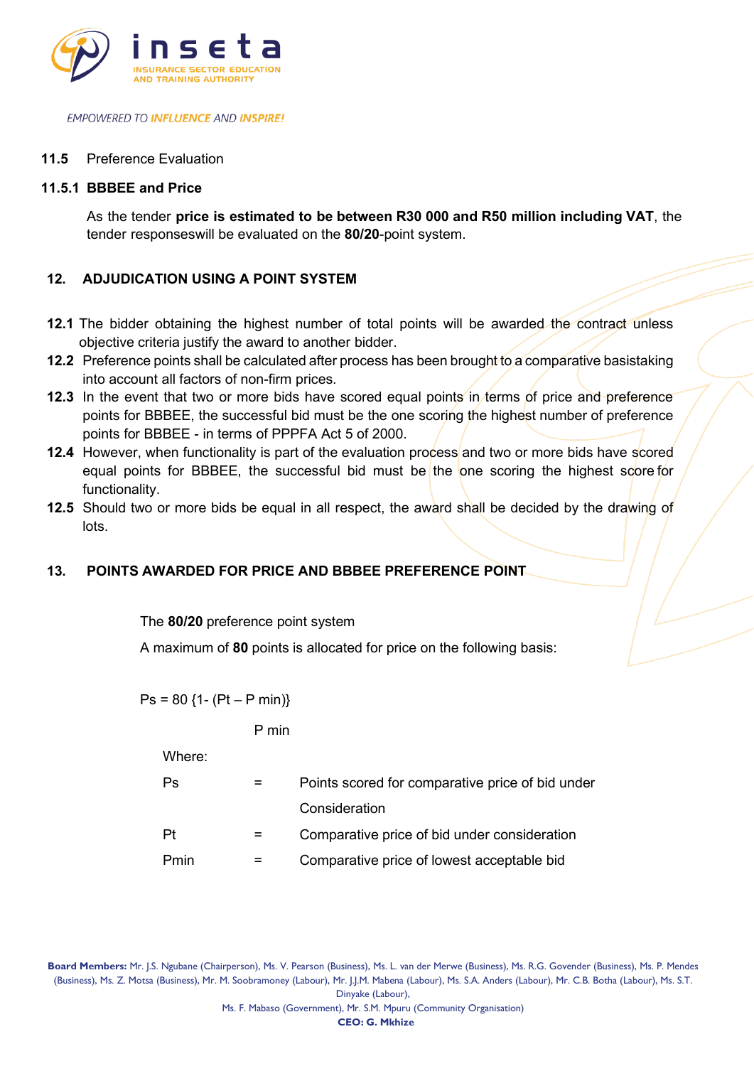

### **11.5** Preference Evaluation

### **11.5.1 BBBEE and Price**

As the tender **price is estimated to be between R30 000 and R50 million including VAT**, the tender responseswill be evaluated on the **80/20**-point system.

## **12. ADJUDICATION USING A POINT SYSTEM**

- **12.1** The bidder obtaining the highest number of total points will be awarded the contract unless objective criteria justify the award to another bidder.
- **12.2** Preference points shall be calculated after process has been brought to a comparative basistaking into account all factors of non-firm prices.
- **12.3** In the event that two or more bids have scored equal points in terms of price and preference points for BBBEE, the successful bid must be the one scoring the highest number of preference points for BBBEE - in terms of PPPFA Act 5 of 2000.
- **12.4** However, when functionality is part of the evaluation process and two or more bids have scored equal points for BBBEE, the successful bid must be the one scoring the highest score for functionality.
- **12.5** Should two or more bids be equal in all respect, the award shall be decided by the drawing of lots.

### **13. POINTS AWARDED FOR PRICE AND BBBEE PREFERENCE POINT**

The **80/20** preference point system

A maximum of **80** points is allocated for price on the following basis:

 $Ps = 80$  {1- (Pt – P min)}

P min

Where:

Ps = Points scored for comparative price of bid under **Consideration** 

$$
Pt = Comparative price of bid under consideration
$$

$$
Pmin =
$$
 **Comparative price of lowest acceptable bid**

**Board Members:** Mr. J.S. Ngubane (Chairperson), Ms. V. Pearson (Business), Ms. L. van der Merwe (Business), Ms. R.G. Govender (Business), Ms. P. Mendes (Business), Ms. Z. Motsa (Business), Mr. M. Soobramoney (Labour), Mr. J.J.M. Mabena (Labour), Ms. S.A. Anders (Labour), Mr. C.B. Botha (Labour), Ms. S.T. Dinyake (Labour),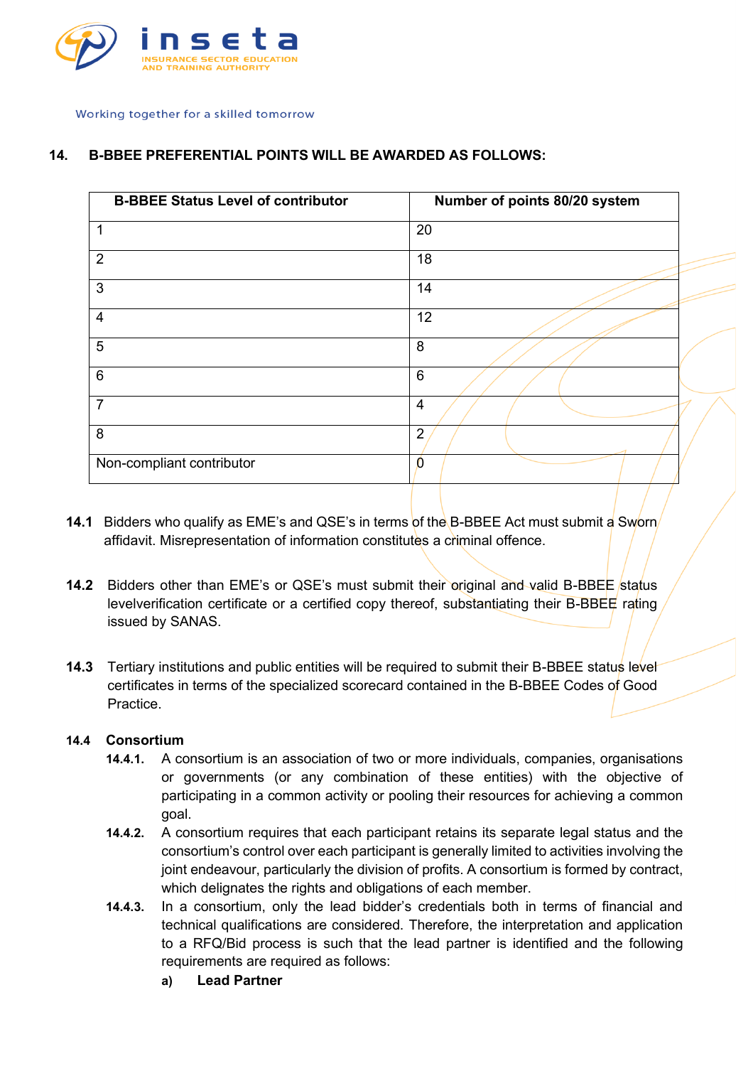

## **14. B-BBEE PREFERENTIAL POINTS WILL BE AWARDED AS FOLLOWS:**

| <b>B-BBEE Status Level of contributor</b> | Number of points 80/20 system |
|-------------------------------------------|-------------------------------|
|                                           | 20                            |
| $\overline{2}$                            | 18                            |
| $\mathbf{3}$                              | 14                            |
| $\overline{4}$                            | 12                            |
| $5\phantom{.0}$                           | 8                             |
| 6                                         | $6\phantom{1}$                |
| $\overline{7}$                            | $\overline{4}$                |
| 8                                         | $\overline{2}$                |
| Non-compliant contributor                 | $\Omega$                      |

- **14.1** Bidders who qualify as EME's and QSE's in terms of the B-BBEE Act must submit a Sworn affidavit. Misrepresentation of information constitutes a criminal offence.
- **14.2** Bidders other than EME's or QSE's must submit their original and valid B-BBEE status levelverification certificate or a certified copy thereof, substantiating their B-BBEE rating issued by SANAS.
- **14.3** Tertiary institutions and public entities will be required to submit their B-BBEE status level certificates in terms of the specialized scorecard contained in the B-BBEE Codes of Good Practice.

### **14.4 Consortium**

- **14.4.1.** A consortium is an association of two or more individuals, companies, organisations or governments (or any combination of these entities) with the objective of participating in a common activity or pooling their resources for achieving a common goal.
- **14.4.2.** A consortium requires that each participant retains its separate legal status and the consortium's control over each participant is generally limited to activities involving the joint endeavour, particularly the division of profits. A consortium is formed by contract, which delignates the rights and obligations of each member.
- **14.4.3.** In a consortium, only the lead bidder's credentials both in terms of financial and technical qualifications are considered. Therefore, the interpretation and application to a RFQ/Bid process is such that the lead partner is identified and the following requirements are required as follows:
	- **a) Lead Partner**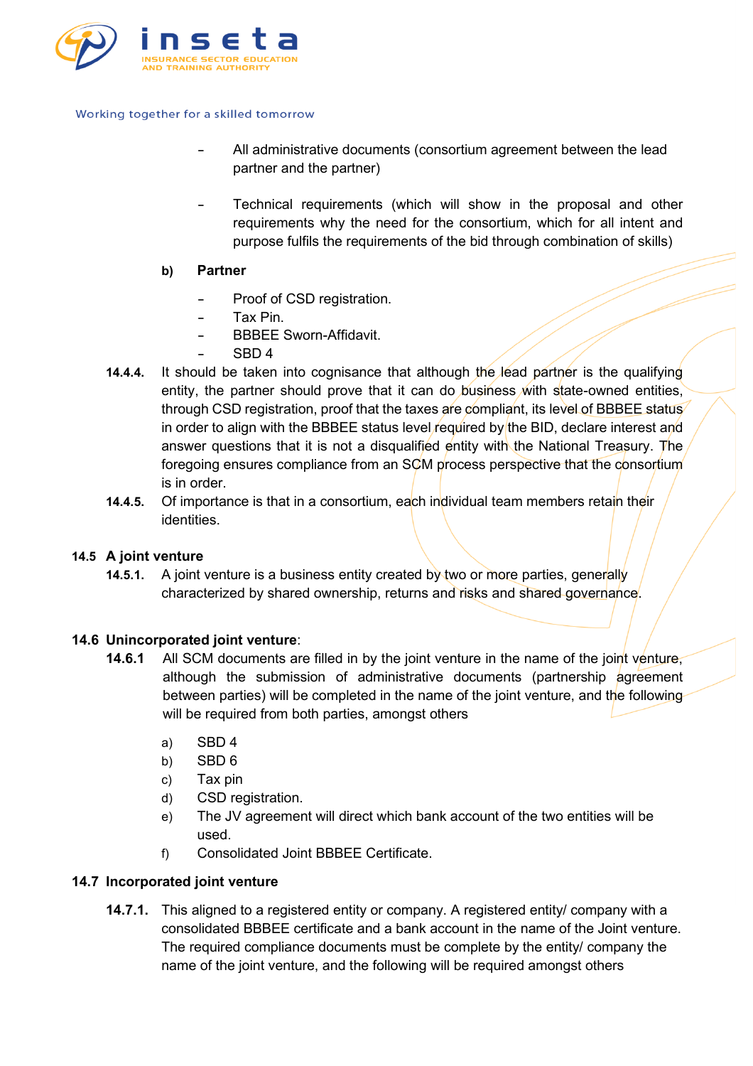

- **-** All administrative documents (consortium agreement between the lead partner and the partner)
- **-** Technical requirements (which will show in the proposal and other requirements why the need for the consortium, which for all intent and purpose fulfils the requirements of the bid through combination of skills)
- **b) Partner**
	- **-** Proof of CSD registration.
	- **-** Tax Pin.
	- **-** BBBEE Sworn-Affidavit.
	- **-** SBD 4
- **14.4.4.** It should be taken into cognisance that although the lead partner is the qualifying entity, the partner should prove that it can do business with state-owned entities, through CSD registration, proof that the taxes are compliant, its level of BBBEE status in order to align with the BBBEE status level required by the BID, declare interest and answer questions that it is not a disqualified entity with the National Treasury. The foregoing ensures compliance from an SCM process perspective that the consortium is in order.
- **14.4.5.** Of importance is that in a consortium, each individual team members retain their identities.

## **14.5 A joint venture**

**14.5.1.** A joint venture is a business entity created by two or more parties, generally characterized by shared ownership, returns and risks and shared governance.

### **14.6 Unincorporated joint venture**:

- **14.6.1** All SCM documents are filled in by the joint venture in the name of the joint venture, although the submission of administrative documents (partnership agreement between parties) will be completed in the name of the joint venture, and the following will be required from both parties, amongst others
	- a) SBD 4
	- b) SBD 6
	- c) Tax pin
	- d) CSD registration.
	- e) The JV agreement will direct which bank account of the two entities will be used.
	- f) Consolidated Joint BBBEE Certificate.

### **14.7 Incorporated joint venture**

**14.7.1.** This aligned to a registered entity or company. A registered entity/ company with a consolidated BBBEE certificate and a bank account in the name of the Joint venture. The required compliance documents must be complete by the entity/ company the name of the joint venture, and the following will be required amongst others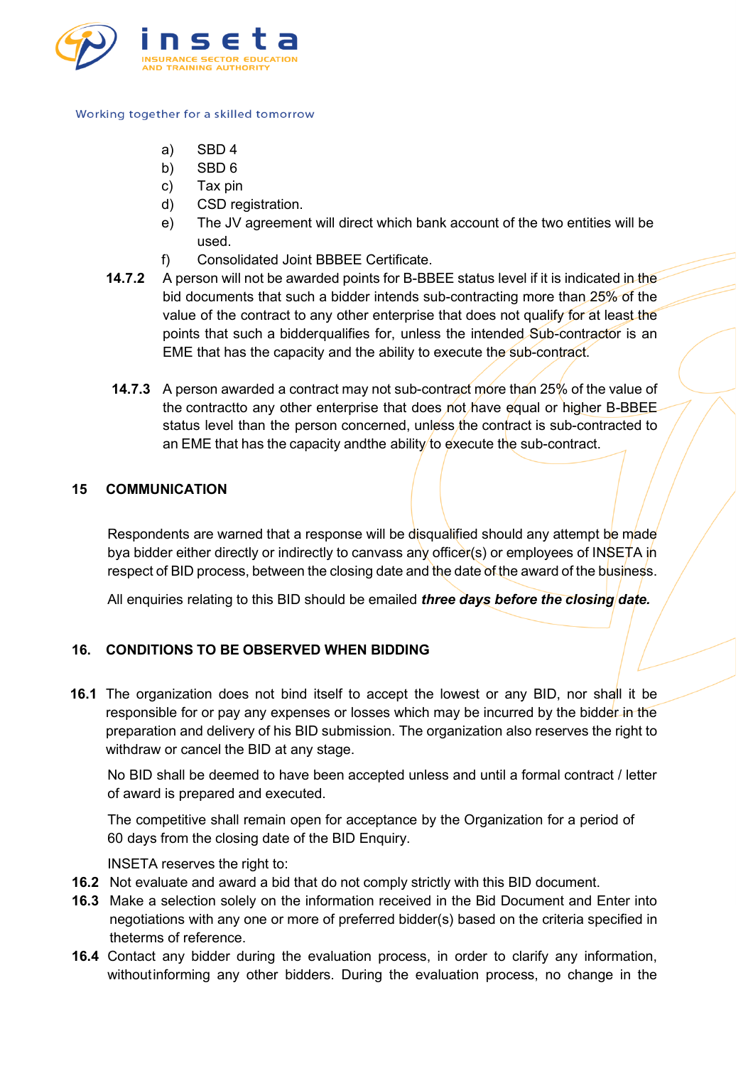

- a) SBD 4
- b) SBD 6
- c) Tax pin
- d) CSD registration.
- e) The JV agreement will direct which bank account of the two entities will be used.
- f) Consolidated Joint BBBEE Certificate.
- **14.7.2** A person will not be awarded points for B-BBEE status level if it is indicated in the bid documents that such a bidder intends sub-contracting more than 25% of the value of the contract to any other enterprise that does not qualify for at least the points that such a bidderqualifies for, unless the intended Sub-contractor is an EME that has the capacity and the ability to execute the sub-contract.
- **14.7.3** A person awarded a contract may not sub-contract more than 25% of the value of the contractto any other enterprise that does not have equal or higher B-BBEE status level than the person concerned, unless the contract is sub-contracted to an EME that has the capacity and the ability to execute the sub-contract.

### **15 COMMUNICATION**

Respondents are warned that a response will be disqualified should any attempt be made bya bidder either directly or indirectly to canvass any officer(s) or employees of INSETA in respect of BID process, between the closing date and the date of the award of the business.

All enquiries relating to this BID should be emailed *three days before the closing date.*

# **16. CONDITIONS TO BE OBSERVED WHEN BIDDING**

**16.1** The organization does not bind itself to accept the lowest or any BID, nor shall it be responsible for or pay any expenses or losses which may be incurred by the bidder in the preparation and delivery of his BID submission. The organization also reserves the right to withdraw or cancel the BID at any stage.

No BID shall be deemed to have been accepted unless and until a formal contract / letter of award is prepared and executed.

The competitive shall remain open for acceptance by the Organization for a period of 60 days from the closing date of the BID Enquiry.

INSETA reserves the right to:

- **16.2** Not evaluate and award a bid that do not comply strictly with this BID document.
- **16.3** Make a selection solely on the information received in the Bid Document and Enter into negotiations with any one or more of preferred bidder(s) based on the criteria specified in theterms of reference.
- **16.4** Contact any bidder during the evaluation process, in order to clarify any information, withoutinforming any other bidders. During the evaluation process, no change in the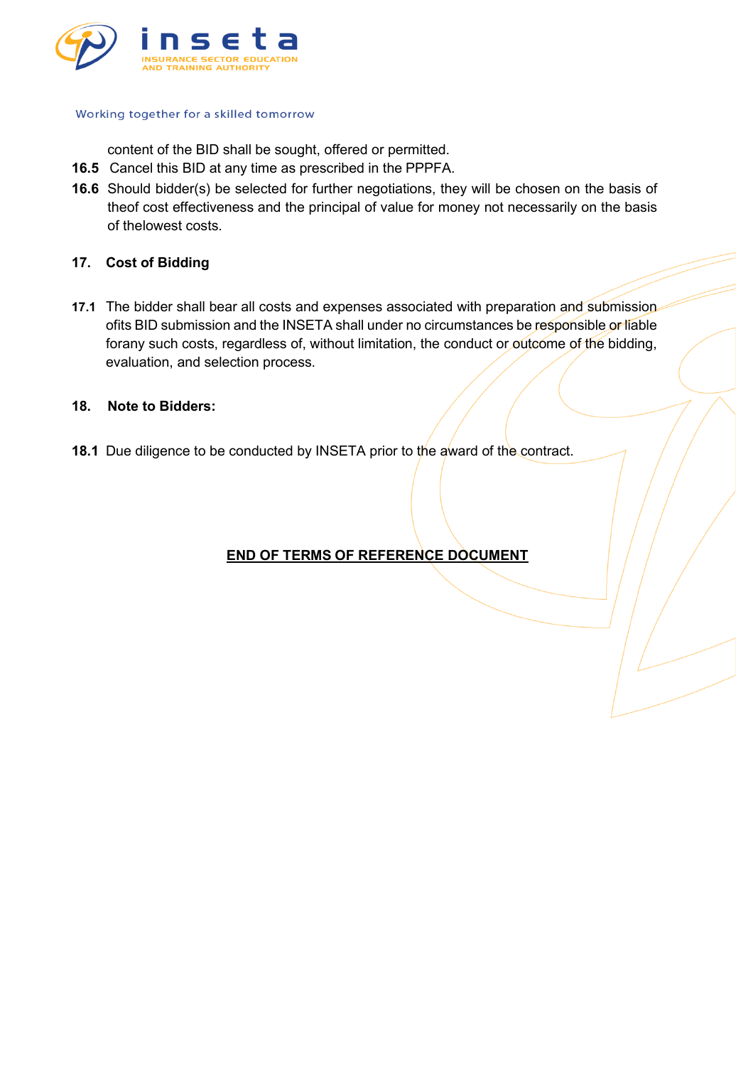

content of the BID shall be sought, offered or permitted.

- **16.5** Cancel this BID at any time as prescribed in the PPPFA.
- **16.6** Should bidder(s) be selected for further negotiations, they will be chosen on the basis of theof cost effectiveness and the principal of value for money not necessarily on the basis of thelowest costs.

#### **17. Cost of Bidding**

**17.1** The bidder shall bear all costs and expenses associated with preparation and submission ofits BID submission and the INSETA shall under no circumstances be responsible or liable forany such costs, regardless of, without limitation, the conduct or outcome of the bidding, evaluation, and selection process.

#### **18. Note to Bidders:**

**18.1** Due diligence to be conducted by INSETA prior to the award of the contract.

# **END OF TERMS OF REFERENCE DOCUMENT**